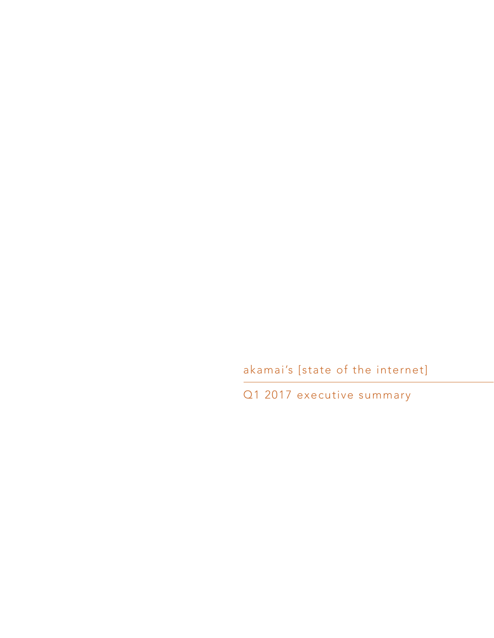akamai's [state of the internet]

Q1 2017 executive summary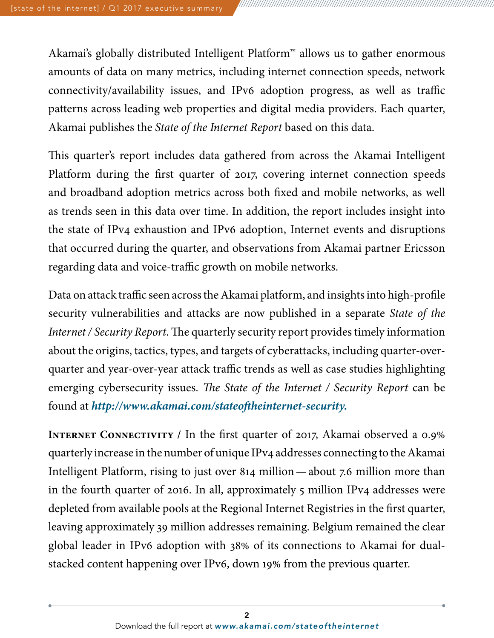Akamai's globally distributed Intelligent Platform™ allows us to gather enormous amounts of data on many metrics, including internet connection speeds, network connectivity/availability issues, and IPv6 adoption progress, as well as traffic patterns across leading web properties and digital media providers. Each quarter, Akamai publishes the *State of the Internet Report* based on this data.

This quarter's report includes data gathered from across the Akamai Intelligent Platform during the first quarter of 2017, covering internet connection speeds and broadband adoption metrics across both fixed and mobile networks, as well as trends seen in this data over time. In addition, the report includes insight into the state of IPv4 exhaustion and IPv6 adoption, Internet events and disruptions that occurred during the quarter, and observations from Akamai partner Ericsson regarding data and voice-traffic growth on mobile networks.

Data on attack traffic seen across the Akamai platform, and insights into high-profile security vulnerabilities and attacks are now published in a separate *State of the Internet / Security Report*. The quarterly security report provides timely information about the origins, tactics, types, and targets of cyberattacks, including quarter-overquarter and year-over-year attack traffic trends as well as case studies highlighting emerging cybersecurity issues. *The State of the Internet / Security Report* can be found at *[http://www.akamai.com/stateoftheinternet-security.](http://www.akamai.com/stateoftheinternet-security)*

**INTERNET CONNECTIVITY / In the first quarter of 2017, Akamai observed a 0.9%** quarterly increase in the number of unique IPv4 addresses connecting to the Akamai Intelligent Platform, rising to just over 814 million—about 7.6 million more than in the fourth quarter of 2016. In all, approximately 5 million IPv4 addresses were depleted from available pools at the Regional Internet Registries in the first quarter, leaving approximately 39 million addresses remaining. Belgium remained the clear global leader in IPv6 adoption with 38% of its connections to Akamai for dualstacked content happening over IPv6, down 19% from the previous quarter.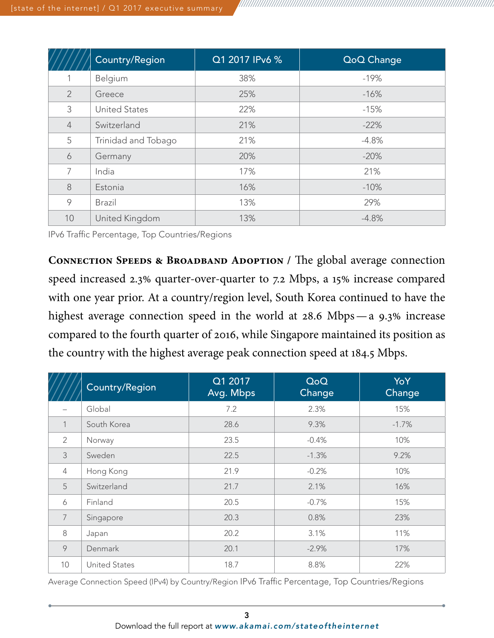|                | Country/Region       | Q1 2017 IPv6 % | QoQ Change |
|----------------|----------------------|----------------|------------|
|                | Belgium              | 38%            | $-19%$     |
| $\overline{2}$ | Greece               | 25%            | $-16%$     |
| 3              | <b>United States</b> | 22%            | $-15%$     |
| $\overline{4}$ | Switzerland          | 21%            | $-22%$     |
| 5              | Trinidad and Tobago  | 21%            | $-4.8%$    |
| 6              | Germany              | 20%            | $-20%$     |
| 7              | India                | 17%            | 21%        |
| $8\,$          | Estonia              | 16%            | $-10%$     |
| 9              | <b>Brazil</b>        | 13%            | 29%        |
| 10             | United Kingdom       | 13%            | $-4.8%$    |

IPv6 Traffic Percentage, Top Countries/Regions

**Connection Speeds & Broadband Adoption /** The global average connection speed increased 2.3% quarter-over-quarter to 7.2 Mbps, a 15% increase compared with one year prior. At a country/region level, South Korea continued to have the highest average connection speed in the world at 28.6 Mbps—a 9.3% increase compared to the fourth quarter of 2016, while Singapore maintained its position as the country with the highest average peak connection speed at 184.5 Mbps.

|                          | Country/Region       | Q1 2017<br>Avg. Mbps | QoQ<br>Change | YoY<br>Change |
|--------------------------|----------------------|----------------------|---------------|---------------|
| $\overline{\phantom{0}}$ | Global               | 7.2                  | 2.3%          | 15%           |
| $\mathbf{1}$             | South Korea          | 28.6                 | 9.3%          | $-1.7%$       |
| $\overline{2}$           | Norway               | 23.5                 | $-0.4%$       | 10%           |
| 3                        | Sweden               | 22.5                 | $-1.3%$       | 9.2%          |
| $\overline{4}$           | Hong Kong            | 21.9                 | $-0.2%$       | 10%           |
| 5                        | Switzerland          | 21.7                 | 2.1%          | 16%           |
| 6                        | Finland              | 20.5                 | $-0.7%$       | 15%           |
| $\overline{7}$           | Singapore            | 20.3                 | 0.8%          | 23%           |
| 8                        | Japan                | 20.2                 | 3.1%          | 11%           |
| $\circ$                  | Denmark              | 20.1                 | $-2.9%$       | 17%           |
| 10                       | <b>United States</b> | 18.7                 | 8.8%          | 22%           |

Average Connection Speed (IPv4) by Country/Region IPv6 Traffic Percentage, Top Countries/Regions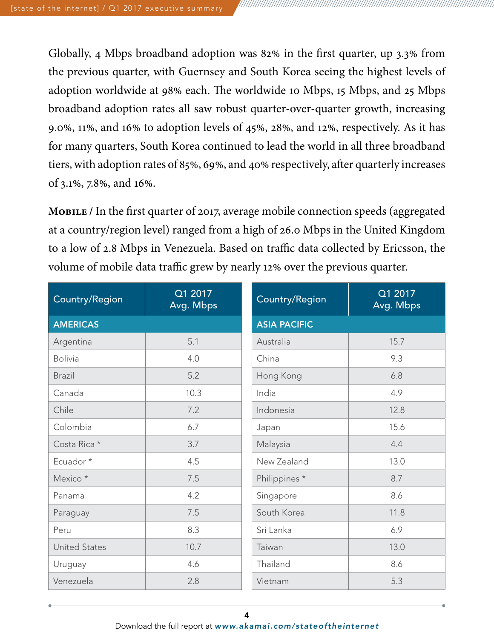Globally, 4 Mbps broadband adoption was 82% in the first quarter, up 3.3% from the previous quarter, with Guernsey and South Korea seeing the highest levels of adoption worldwide at 98% each. The worldwide 10 Mbps, 15 Mbps, and 25 Mbps broadband adoption rates all saw robust quarter-over-quarter growth, increasing 9.0%, 11%, and 16% to adoption levels of 45%, 28%, and 12%, respectively. As it has for many quarters, South Korea continued to lead the world in all three broadband tiers, with adoption rates of 85%, 69%, and 40% respectively, after quarterly increases of 3.1%, 7.8%, and 16%.

**Mobile /** In the first quarter of 2017, average mobile connection speeds (aggregated at a country/region level) ranged from a high of 26.0 Mbps in the United Kingdom to a low of 2.8 Mbps in Venezuela. Based on traffic data collected by Ericsson, the volume of mobile data traffic grew by nearly 12% over the previous quarter.

| Country/Region       | Q1 2017<br>Avg. Mbps | Country/Region      | Q1 2017<br>Avg. Mbps |  |
|----------------------|----------------------|---------------------|----------------------|--|
| <b>AMERICAS</b>      |                      | <b>ASIA PACIFIC</b> |                      |  |
| Argentina            | 5.1                  | Australia           | 15.7                 |  |
| <b>Bolivia</b>       | 4.0                  | China               | 9.3                  |  |
| <b>Brazil</b>        | 5.2                  | Hong Kong           | 6.8                  |  |
| Canada               | 10.3                 | India               | 4.9                  |  |
| Chile                | 7.2                  | Indonesia           | 12.8                 |  |
| Colombia             | 6.7                  | Japan               | 15.6                 |  |
| Costa Rica *         | 3.7                  | Malaysia            | 4.4                  |  |
| Ecuador*             | 4.5                  | New Zealand         | 13.0                 |  |
| Mexico *             | 7.5                  | Philippines *       | 8.7                  |  |
| Panama               | 4.2                  | Singapore           | 8.6                  |  |
| Paraguay             | 7.5                  | South Korea         | 11.8                 |  |
| Peru                 | 8.3                  | Sri Lanka           | 6.9                  |  |
| <b>United States</b> | 10.7                 | Taiwan              | 13.0                 |  |
| Uruguay              | 4.6                  | Thailand            | 8.6                  |  |
| Venezuela            | 2.8                  | Vietnam             | 5.3                  |  |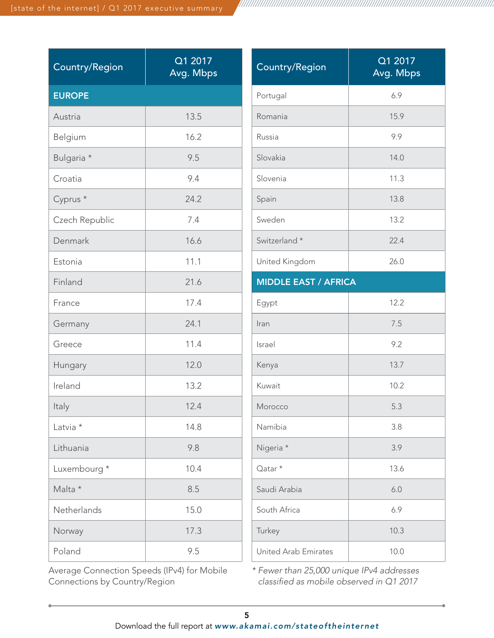| <b>Country/Region</b> | Q1 2017<br>Avg. Mbps | <b>Country/Region</b>       | Q1 2017<br>Avg. Mbps        |  |
|-----------------------|----------------------|-----------------------------|-----------------------------|--|
| <b>EUROPE</b>         |                      | Portugal                    | 6.9                         |  |
| Austria               | 13.5                 | Romania                     | 15.9                        |  |
| Belgium               | 16.2                 | Russia                      | 9.9                         |  |
| Bulgaria *            | 9.5                  | Slovakia                    | 14.0                        |  |
| Croatia               | 9.4                  | Slovenia                    | 11.3                        |  |
| Cyprus <sup>*</sup>   | 24.2                 | Spain                       | 13.8                        |  |
| Czech Republic        | 7.4                  | Sweden                      | 13.2                        |  |
| Denmark               | 16.6                 | Switzerland *               | 22.4                        |  |
| Estonia               | 11.1                 | United Kingdom              | 26.0                        |  |
| Finland               | 21.6                 |                             | <b>MIDDLE EAST / AFRICA</b> |  |
| France                | 17.4                 | Egypt                       | 12.2                        |  |
| Germany               | 24.1                 | Iran                        | 7.5                         |  |
| Greece                | 11.4                 | Israel                      | 9.2                         |  |
| Hungary               | 12.0                 | Kenya                       | 13.7                        |  |
| Ireland               | 13.2                 | Kuwait                      | 10.2                        |  |
| Italy                 | 12.4                 | Morocco                     | 5.3                         |  |
| Latvia *              | 14.8                 | Namibia                     | 3.8                         |  |
| Lithuania             | 9.8                  | Nigeria *                   | 3.9                         |  |
| Luxembourg *          | 10.4                 | Qatar <sup>*</sup>          | 13.6                        |  |
| Malta *               | 8.5                  | Saudi Arabia                | $6.0$                       |  |
| Netherlands           | 15.0                 | South Africa                | 6.9                         |  |
| Norway                | 17.3                 | Turkey                      | 10.3                        |  |
| Poland                | 9.5                  | <b>United Arab Emirates</b> | 10.0                        |  |

Average Connection Speeds (IPv4) for Mobile Connections by Country/Region

*\* Fewer than 25,000 unique IPv4 addresses classified as mobile observed in Q1 2017*